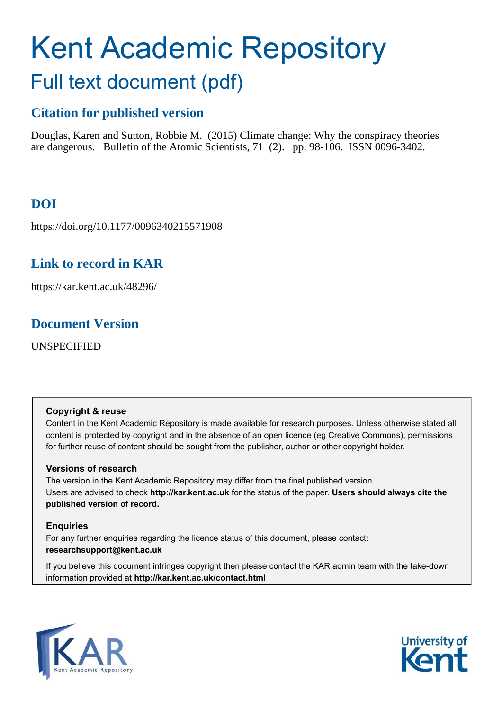# Kent Academic Repository Full text document (pdf)

# **Citation for published version**

Douglas, Karen and Sutton, Robbie M. (2015) Climate change: Why the conspiracy theories are dangerous. Bulletin of the Atomic Scientists, 71 (2). pp. 98-106. ISSN 0096-3402.

# **DOI**

https://doi.org/10.1177/0096340215571908

## **Link to record in KAR**

https://kar.kent.ac.uk/48296/

## **Document Version**

UNSPECIFIED

## **Copyright & reuse**

Content in the Kent Academic Repository is made available for research purposes. Unless otherwise stated all content is protected by copyright and in the absence of an open licence (eg Creative Commons), permissions for further reuse of content should be sought from the publisher, author or other copyright holder.

## **Versions of research**

The version in the Kent Academic Repository may differ from the final published version. Users are advised to check **http://kar.kent.ac.uk** for the status of the paper. **Users should always cite the published version of record.**

## **Enquiries**

For any further enquiries regarding the licence status of this document, please contact: **researchsupport@kent.ac.uk**

If you believe this document infringes copyright then please contact the KAR admin team with the take-down information provided at **http://kar.kent.ac.uk/contact.html**



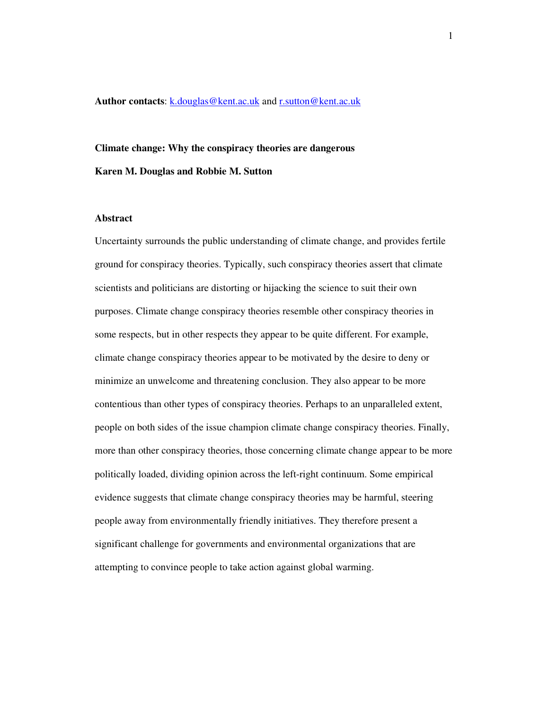**Author contacts**: k.douglas@kent.ac.uk and r.sutton@kent.ac.uk

# **Climate change: Why the conspiracy theories are dangerous Karen M. Douglas and Robbie M. Sutton**

#### **Abstract**

Uncertainty surrounds the public understanding of climate change, and provides fertile ground for conspiracy theories. Typically, such conspiracy theories assert that climate scientists and politicians are distorting or hijacking the science to suit their own purposes. Climate change conspiracy theories resemble other conspiracy theories in some respects, but in other respects they appear to be quite different. For example, climate change conspiracy theories appear to be motivated by the desire to deny or minimize an unwelcome and threatening conclusion. They also appear to be more contentious than other types of conspiracy theories. Perhaps to an unparalleled extent, people on both sides of the issue champion climate change conspiracy theories. Finally, more than other conspiracy theories, those concerning climate change appear to be more politically loaded, dividing opinion across the left-right continuum. Some empirical evidence suggests that climate change conspiracy theories may be harmful, steering people away from environmentally friendly initiatives. They therefore present a significant challenge for governments and environmental organizations that are attempting to convince people to take action against global warming.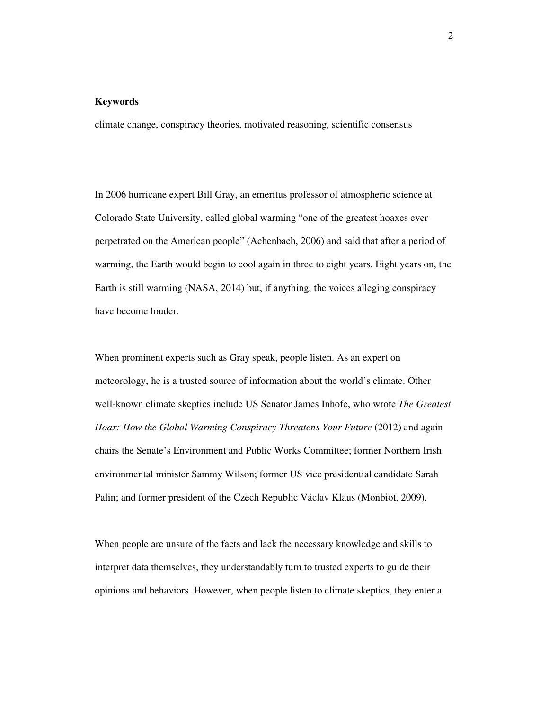#### **Keywords**

climate change, conspiracy theories, motivated reasoning, scientific consensus

In 2006 hurricane expert Bill Gray, an emeritus professor of atmospheric science at Colorado State University, called global warming "one of the greatest hoaxes ever perpetrated on the American people" (Achenbach, 2006) and said that after a period of warming, the Earth would begin to cool again in three to eight years. Eight years on, the Earth is still warming (NASA, 2014) but, if anything, the voices alleging conspiracy have become louder.

When prominent experts such as Gray speak, people listen. As an expert on meteorology, he is a trusted source of information about the world's climate. Other well-known climate skeptics include US Senator James Inhofe, who wrote *The Greatest Hoax: How the Global Warming Conspiracy Threatens Your Future (2012)* and again chairs the Senate's Environment and Public Works Committee; former Northern Irish environmental minister Sammy Wilson; former US vice presidential candidate Sarah Palin; and former president of the Czech Republic Václav Klaus (Monbiot, 2009).

When people are unsure of the facts and lack the necessary knowledge and skills to interpret data themselves, they understandably turn to trusted experts to guide their opinions and behaviors. However, when people listen to climate skeptics, they enter a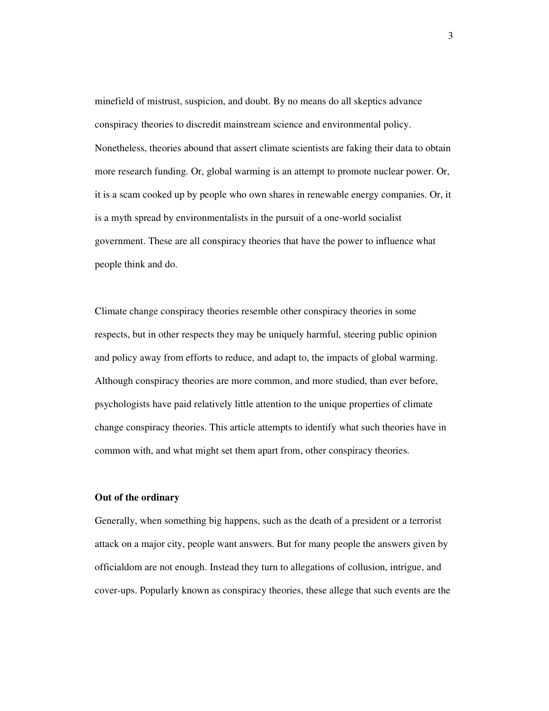minefield of mistrust, suspicion, and doubt. By no means do all skeptics advance conspiracy theories to discredit mainstream science and environmental policy. Nonetheless, theories abound that assert climate scientists are faking their data to obtain more research funding. Or, global warming is an attempt to promote nuclear power. Or, it is a scam cooked up by people who own shares in renewable energy companies. Or, it is a myth spread by environmentalists in the pursuit of a one-world socialist government. These are all conspiracy theories that have the power to influence what people think and do.

Climate change conspiracy theories resemble other conspiracy theories in some respects, but in other respects they may be uniquely harmful, steering public opinion and policy away from efforts to reduce, and adapt to, the impacts of global warming. Although conspiracy theories are more common, and more studied, than ever before, psychologists have paid relatively little attention to the unique properties of climate change conspiracy theories. This article attempts to identify what such theories have in common with, and what might set them apart from, other conspiracy theories.

#### **Out of the ordinary**

Generally, when something big happens, such as the death of a president or a terrorist attack on a major city, people want answers. But for many people the answers given by officialdom are not enough. Instead they turn to allegations of collusion, intrigue, and cover-ups. Popularly known as conspiracy theories, these allege that such events are the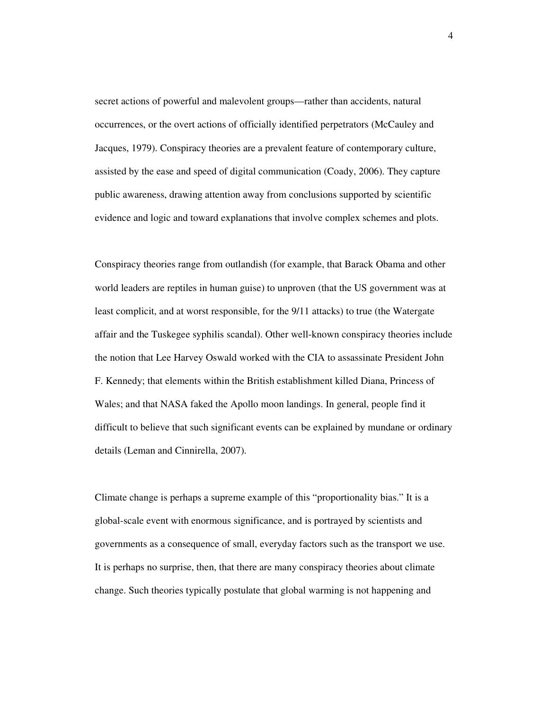secret actions of powerful and malevolent groups—rather than accidents, natural occurrences, or the overt actions of officially identified perpetrators (McCauley and Jacques, 1979). Conspiracy theories are a prevalent feature of contemporary culture, assisted by the ease and speed of digital communication (Coady, 2006). They capture public awareness, drawing attention away from conclusions supported by scientific evidence and logic and toward explanations that involve complex schemes and plots.

Conspiracy theories range from outlandish (for example, that Barack Obama and other world leaders are reptiles in human guise) to unproven (that the US government was at least complicit, and at worst responsible, for the 9/11 attacks) to true (the Watergate affair and the Tuskegee syphilis scandal). Other well-known conspiracy theories include the notion that Lee Harvey Oswald worked with the CIA to assassinate President John F. Kennedy; that elements within the British establishment killed Diana, Princess of Wales; and that NASA faked the Apollo moon landings. In general, people find it difficult to believe that such significant events can be explained by mundane or ordinary details (Leman and Cinnirella, 2007).

Climate change is perhaps a supreme example of this "proportionality bias." It is a global-scale event with enormous significance, and is portrayed by scientists and governments as a consequence of small, everyday factors such as the transport we use. It is perhaps no surprise, then, that there are many conspiracy theories about climate change. Such theories typically postulate that global warming is not happening and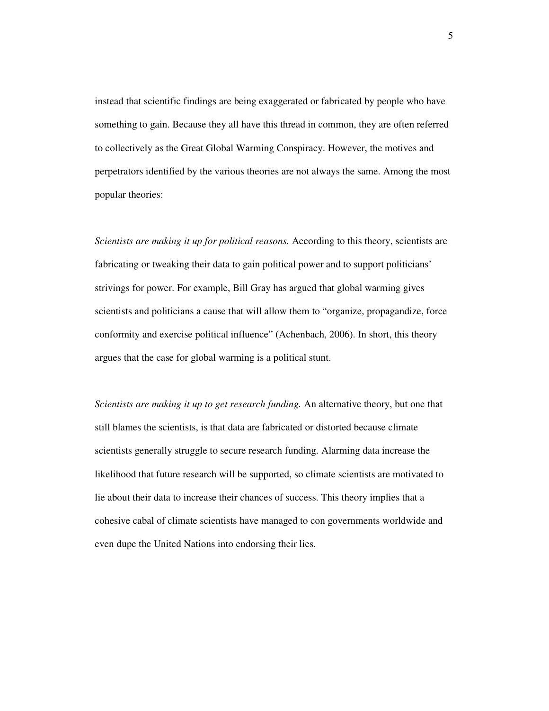instead that scientific findings are being exaggerated or fabricated by people who have something to gain. Because they all have this thread in common, they are often referred to collectively as the Great Global Warming Conspiracy. However, the motives and perpetrators identified by the various theories are not always the same. Among the most popular theories:

*Scientists are making it up for political reasons.* According to this theory, scientists are fabricating or tweaking their data to gain political power and to support politicians' strivings for power. For example, Bill Gray has argued that global warming gives scientists and politicians a cause that will allow them to "organize, propagandize, force conformity and exercise political influence" (Achenbach, 2006). In short, this theory argues that the case for global warming is a political stunt.

*Scientists are making it up to get research funding.* An alternative theory, but one that still blames the scientists, is that data are fabricated or distorted because climate scientists generally struggle to secure research funding. Alarming data increase the likelihood that future research will be supported, so climate scientists are motivated to lie about their data to increase their chances of success. This theory implies that a cohesive cabal of climate scientists have managed to con governments worldwide and even dupe the United Nations into endorsing their lies.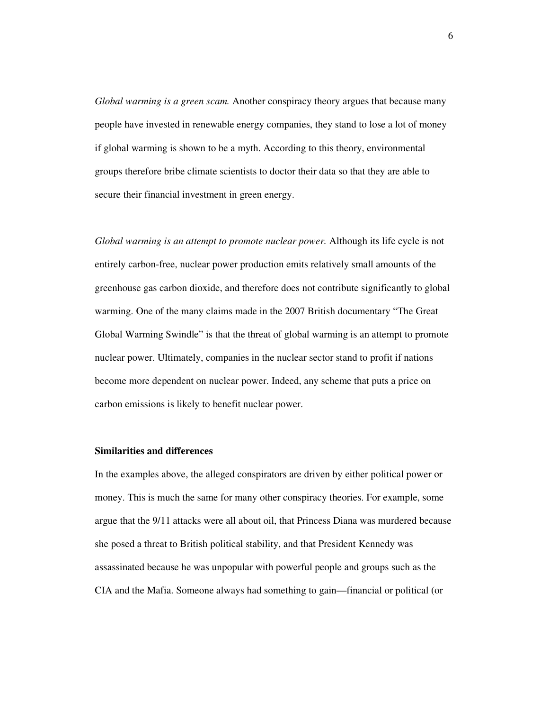*Global warming is a green scam.* Another conspiracy theory argues that because many people have invested in renewable energy companies, they stand to lose a lot of money if global warming is shown to be a myth. According to this theory, environmental groups therefore bribe climate scientists to doctor their data so that they are able to secure their financial investment in green energy.

*Global warming is an attempt to promote nuclear power.* Although its life cycle is not entirely carbon-free, nuclear power production emits relatively small amounts of the greenhouse gas carbon dioxide, and therefore does not contribute significantly to global warming. One of the many claims made in the 2007 British documentary "The Great Global Warming Swindle" is that the threat of global warming is an attempt to promote nuclear power. Ultimately, companies in the nuclear sector stand to profit if nations become more dependent on nuclear power. Indeed, any scheme that puts a price on carbon emissions is likely to benefit nuclear power.

#### **Similarities and differences**

In the examples above, the alleged conspirators are driven by either political power or money. This is much the same for many other conspiracy theories. For example, some argue that the 9/11 attacks were all about oil, that Princess Diana was murdered because she posed a threat to British political stability, and that President Kennedy was assassinated because he was unpopular with powerful people and groups such as the CIA and the Mafia. Someone always had something to gain—financial or political (or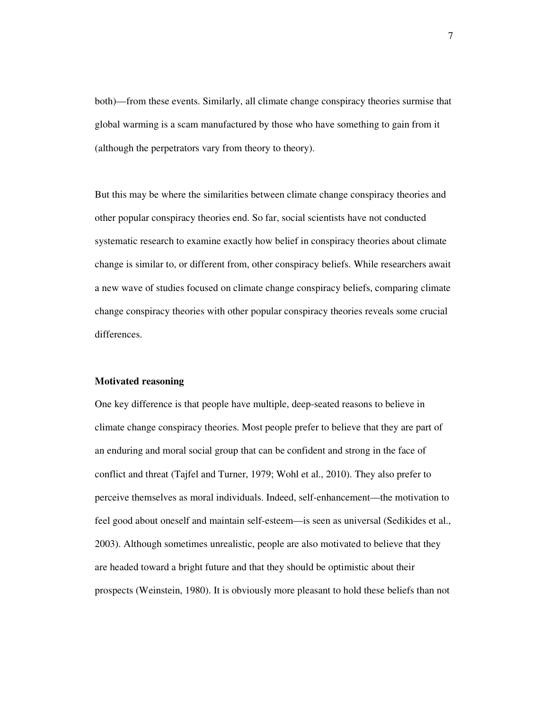both)—from these events. Similarly, all climate change conspiracy theories surmise that global warming is a scam manufactured by those who have something to gain from it (although the perpetrators vary from theory to theory).

But this may be where the similarities between climate change conspiracy theories and other popular conspiracy theories end. So far, social scientists have not conducted systematic research to examine exactly how belief in conspiracy theories about climate change is similar to, or different from, other conspiracy beliefs. While researchers await a new wave of studies focused on climate change conspiracy beliefs, comparing climate change conspiracy theories with other popular conspiracy theories reveals some crucial differences.

#### **Motivated reasoning**

One key difference is that people have multiple, deep-seated reasons to believe in climate change conspiracy theories. Most people prefer to believe that they are part of an enduring and moral social group that can be confident and strong in the face of conflict and threat (Tajfel and Turner, 1979; Wohl et al., 2010). They also prefer to perceive themselves as moral individuals. Indeed, self-enhancement—the motivation to feel good about oneself and maintain self-esteem—is seen as universal (Sedikides et al., 2003). Although sometimes unrealistic, people are also motivated to believe that they are headed toward a bright future and that they should be optimistic about their prospects (Weinstein, 1980). It is obviously more pleasant to hold these beliefs than not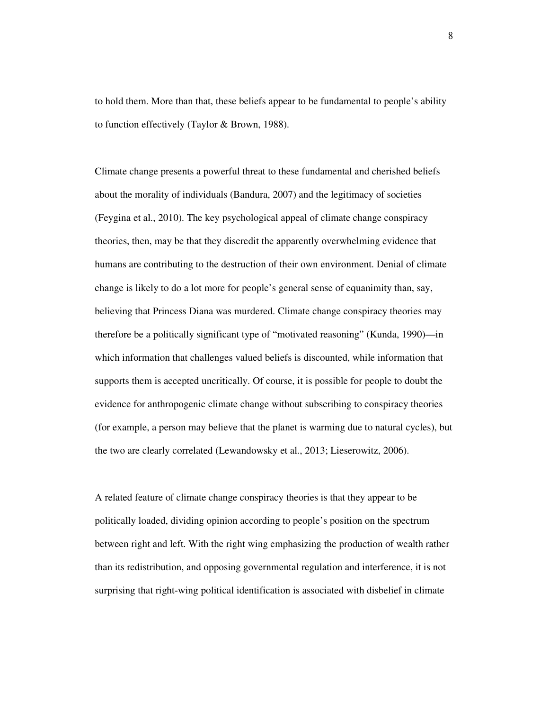to hold them. More than that, these beliefs appear to be fundamental to people's ability to function effectively (Taylor & Brown, 1988).

Climate change presents a powerful threat to these fundamental and cherished beliefs about the morality of individuals (Bandura, 2007) and the legitimacy of societies (Feygina et al., 2010). The key psychological appeal of climate change conspiracy theories, then, may be that they discredit the apparently overwhelming evidence that humans are contributing to the destruction of their own environment. Denial of climate change is likely to do a lot more for people's general sense of equanimity than, say, believing that Princess Diana was murdered. Climate change conspiracy theories may therefore be a politically significant type of "motivated reasoning" (Kunda, 1990)—in which information that challenges valued beliefs is discounted, while information that supports them is accepted uncritically. Of course, it is possible for people to doubt the evidence for anthropogenic climate change without subscribing to conspiracy theories (for example, a person may believe that the planet is warming due to natural cycles), but the two are clearly correlated (Lewandowsky et al., 2013; Lieserowitz, 2006).

A related feature of climate change conspiracy theories is that they appear to be politically loaded, dividing opinion according to people's position on the spectrum between right and left. With the right wing emphasizing the production of wealth rather than its redistribution, and opposing governmental regulation and interference, it is not surprising that right-wing political identification is associated with disbelief in climate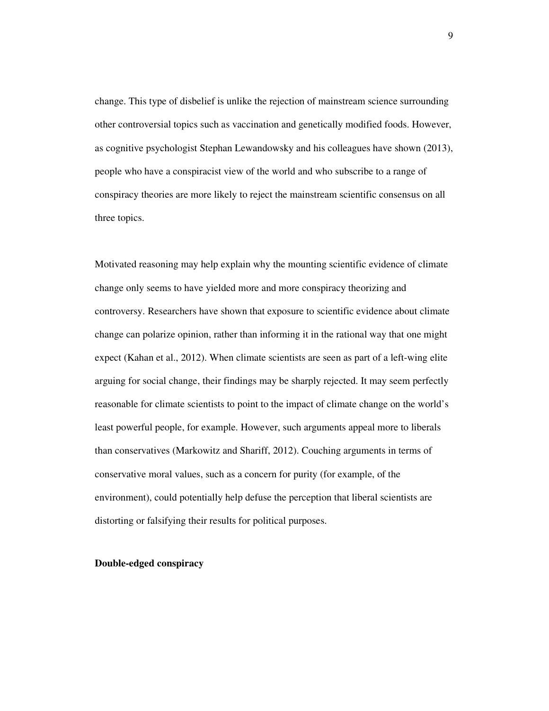change. This type of disbelief is unlike the rejection of mainstream science surrounding other controversial topics such as vaccination and genetically modified foods. However, as cognitive psychologist Stephan Lewandowsky and his colleagues have shown (2013), people who have a conspiracist view of the world and who subscribe to a range of conspiracy theories are more likely to reject the mainstream scientific consensus on all three topics.

Motivated reasoning may help explain why the mounting scientific evidence of climate change only seems to have yielded more and more conspiracy theorizing and controversy. Researchers have shown that exposure to scientific evidence about climate change can polarize opinion, rather than informing it in the rational way that one might expect (Kahan et al., 2012). When climate scientists are seen as part of a left-wing elite arguing for social change, their findings may be sharply rejected. It may seem perfectly reasonable for climate scientists to point to the impact of climate change on the world's least powerful people, for example. However, such arguments appeal more to liberals than conservatives (Markowitz and Shariff, 2012). Couching arguments in terms of conservative moral values, such as a concern for purity (for example, of the environment), could potentially help defuse the perception that liberal scientists are distorting or falsifying their results for political purposes.

#### **Double-edged conspiracy**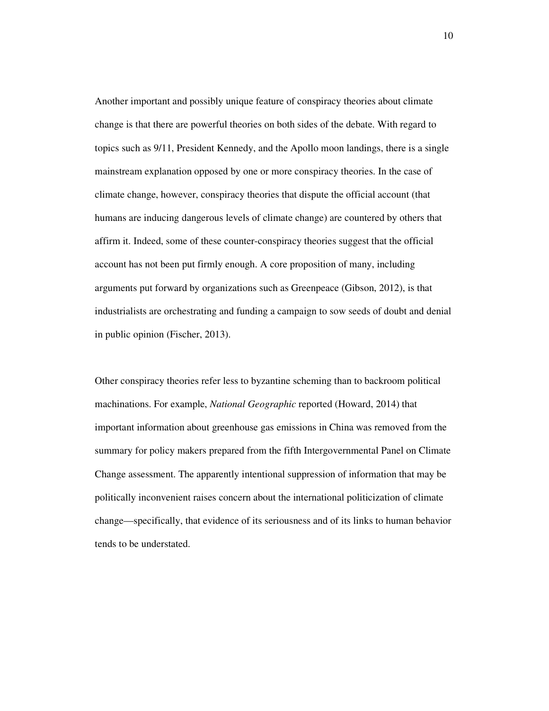Another important and possibly unique feature of conspiracy theories about climate change is that there are powerful theories on both sides of the debate. With regard to topics such as 9/11, President Kennedy, and the Apollo moon landings, there is a single mainstream explanation opposed by one or more conspiracy theories. In the case of climate change, however, conspiracy theories that dispute the official account (that humans are inducing dangerous levels of climate change) are countered by others that affirm it. Indeed, some of these counter-conspiracy theories suggest that the official account has not been put firmly enough. A core proposition of many, including arguments put forward by organizations such as Greenpeace (Gibson, 2012), is that industrialists are orchestrating and funding a campaign to sow seeds of doubt and denial in public opinion (Fischer, 2013).

Other conspiracy theories refer less to byzantine scheming than to backroom political machinations. For example, *National Geographic* reported (Howard, 2014) that important information about greenhouse gas emissions in China was removed from the summary for policy makers prepared from the fifth Intergovernmental Panel on Climate Change assessment. The apparently intentional suppression of information that may be politically inconvenient raises concern about the international politicization of climate change—specifically, that evidence of its seriousness and of its links to human behavior tends to be understated.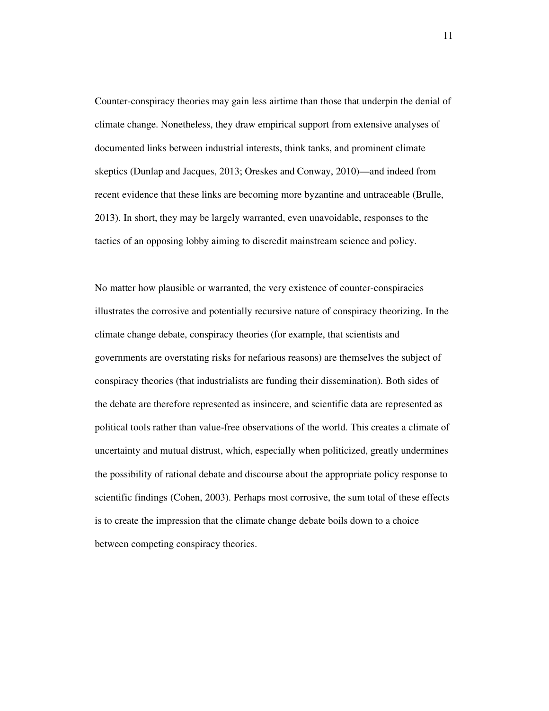Counter-conspiracy theories may gain less airtime than those that underpin the denial of climate change. Nonetheless, they draw empirical support from extensive analyses of documented links between industrial interests, think tanks, and prominent climate skeptics (Dunlap and Jacques, 2013; Oreskes and Conway, 2010)—and indeed from recent evidence that these links are becoming more byzantine and untraceable (Brulle, 2013). In short, they may be largely warranted, even unavoidable, responses to the tactics of an opposing lobby aiming to discredit mainstream science and policy.

No matter how plausible or warranted, the very existence of counter-conspiracies illustrates the corrosive and potentially recursive nature of conspiracy theorizing. In the climate change debate, conspiracy theories (for example, that scientists and governments are overstating risks for nefarious reasons) are themselves the subject of conspiracy theories (that industrialists are funding their dissemination). Both sides of the debate are therefore represented as insincere, and scientific data are represented as political tools rather than value-free observations of the world. This creates a climate of uncertainty and mutual distrust, which, especially when politicized, greatly undermines the possibility of rational debate and discourse about the appropriate policy response to scientific findings (Cohen, 2003). Perhaps most corrosive, the sum total of these effects is to create the impression that the climate change debate boils down to a choice between competing conspiracy theories.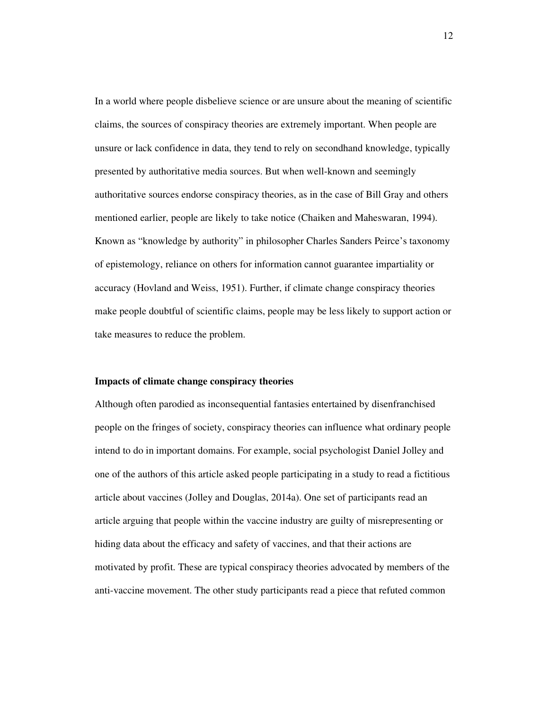In a world where people disbelieve science or are unsure about the meaning of scientific claims, the sources of conspiracy theories are extremely important. When people are unsure or lack confidence in data, they tend to rely on secondhand knowledge, typically presented by authoritative media sources. But when well-known and seemingly authoritative sources endorse conspiracy theories, as in the case of Bill Gray and others mentioned earlier, people are likely to take notice (Chaiken and Maheswaran, 1994). Known as "knowledge by authority" in philosopher Charles Sanders Peirce's taxonomy of epistemology, reliance on others for information cannot guarantee impartiality or accuracy (Hovland and Weiss, 1951). Further, if climate change conspiracy theories make people doubtful of scientific claims, people may be less likely to support action or take measures to reduce the problem.

#### **Impacts of climate change conspiracy theories**

Although often parodied as inconsequential fantasies entertained by disenfranchised people on the fringes of society, conspiracy theories can influence what ordinary people intend to do in important domains. For example, social psychologist Daniel Jolley and one of the authors of this article asked people participating in a study to read a fictitious article about vaccines (Jolley and Douglas, 2014a). One set of participants read an article arguing that people within the vaccine industry are guilty of misrepresenting or hiding data about the efficacy and safety of vaccines, and that their actions are motivated by profit. These are typical conspiracy theories advocated by members of the anti-vaccine movement. The other study participants read a piece that refuted common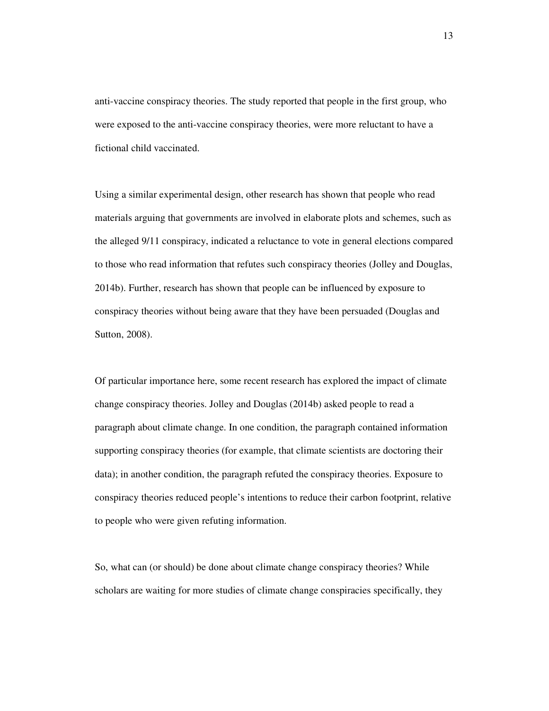anti-vaccine conspiracy theories. The study reported that people in the first group, who were exposed to the anti-vaccine conspiracy theories, were more reluctant to have a fictional child vaccinated.

Using a similar experimental design, other research has shown that people who read materials arguing that governments are involved in elaborate plots and schemes, such as the alleged 9/11 conspiracy, indicated a reluctance to vote in general elections compared to those who read information that refutes such conspiracy theories (Jolley and Douglas, 2014b). Further, research has shown that people can be influenced by exposure to conspiracy theories without being aware that they have been persuaded (Douglas and Sutton, 2008).

Of particular importance here, some recent research has explored the impact of climate change conspiracy theories. Jolley and Douglas (2014b) asked people to read a paragraph about climate change. In one condition, the paragraph contained information supporting conspiracy theories (for example, that climate scientists are doctoring their data); in another condition, the paragraph refuted the conspiracy theories. Exposure to conspiracy theories reduced people's intentions to reduce their carbon footprint, relative to people who were given refuting information.

So, what can (or should) be done about climate change conspiracy theories? While scholars are waiting for more studies of climate change conspiracies specifically, they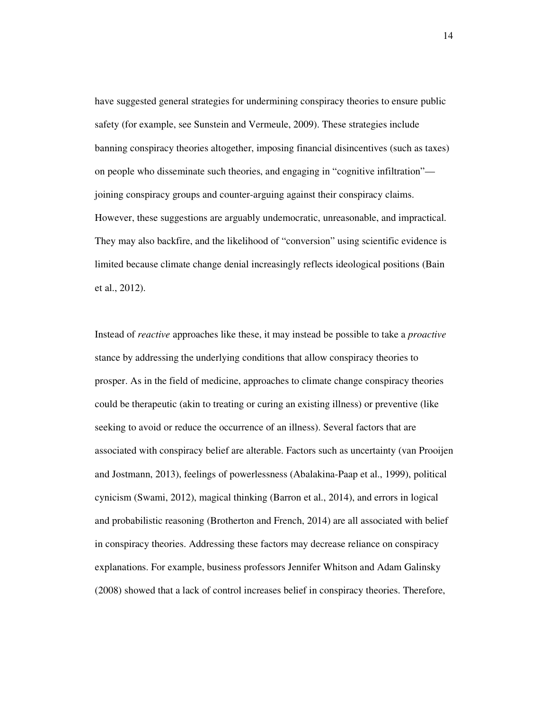have suggested general strategies for undermining conspiracy theories to ensure public safety (for example, see Sunstein and Vermeule, 2009). These strategies include banning conspiracy theories altogether, imposing financial disincentives (such as taxes) on people who disseminate such theories, and engaging in "cognitive infiltration" joining conspiracy groups and counter-arguing against their conspiracy claims. However, these suggestions are arguably undemocratic, unreasonable, and impractical. They may also backfire, and the likelihood of "conversion" using scientific evidence is limited because climate change denial increasingly reflects ideological positions (Bain et al., 2012).

Instead of *reactive* approaches like these, it may instead be possible to take a *proactive* stance by addressing the underlying conditions that allow conspiracy theories to prosper. As in the field of medicine, approaches to climate change conspiracy theories could be therapeutic (akin to treating or curing an existing illness) or preventive (like seeking to avoid or reduce the occurrence of an illness). Several factors that are associated with conspiracy belief are alterable. Factors such as uncertainty (van Prooijen and Jostmann, 2013), feelings of powerlessness (Abalakina-Paap et al., 1999), political cynicism (Swami, 2012), magical thinking (Barron et al., 2014), and errors in logical and probabilistic reasoning (Brotherton and French, 2014) are all associated with belief in conspiracy theories. Addressing these factors may decrease reliance on conspiracy explanations. For example, business professors Jennifer Whitson and Adam Galinsky (2008) showed that a lack of control increases belief in conspiracy theories. Therefore,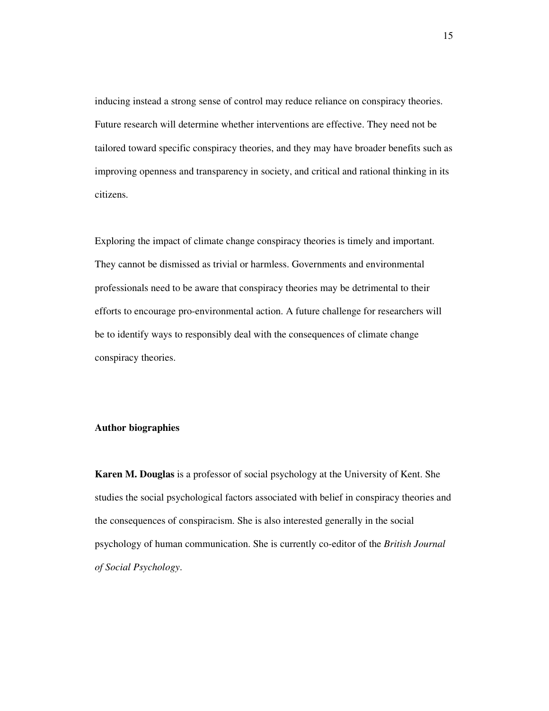inducing instead a strong sense of control may reduce reliance on conspiracy theories. Future research will determine whether interventions are effective. They need not be tailored toward specific conspiracy theories, and they may have broader benefits such as improving openness and transparency in society, and critical and rational thinking in its citizens.

Exploring the impact of climate change conspiracy theories is timely and important. They cannot be dismissed as trivial or harmless. Governments and environmental professionals need to be aware that conspiracy theories may be detrimental to their efforts to encourage pro-environmental action. A future challenge for researchers will be to identify ways to responsibly deal with the consequences of climate change conspiracy theories.

#### **Author biographies**

**Karen M. Douglas** is a professor of social psychology at the University of Kent. She studies the social psychological factors associated with belief in conspiracy theories and the consequences of conspiracism. She is also interested generally in the social psychology of human communication. She is currently co-editor of the *British Journal of Social Psychology*.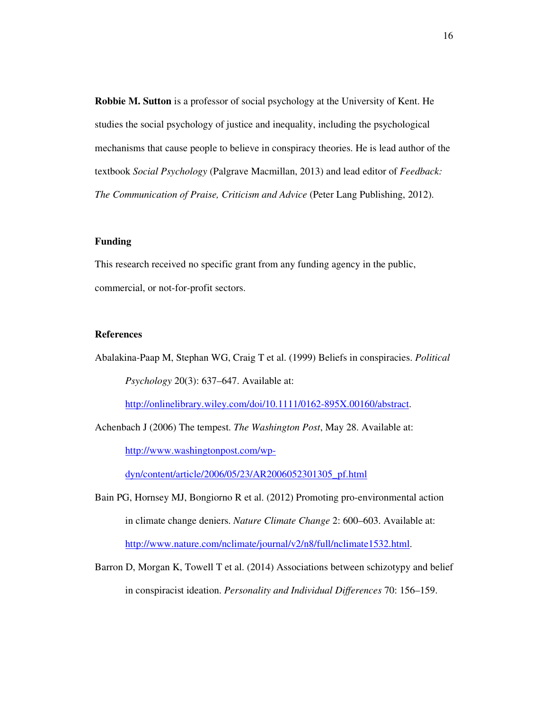**Robbie M. Sutton** is a professor of social psychology at the University of Kent. He studies the social psychology of justice and inequality, including the psychological mechanisms that cause people to believe in conspiracy theories. He is lead author of the textbook *Social Psychology* (Palgrave Macmillan, 2013) and lead editor of *Feedback: The Communication of Praise, Criticism and Advice* (Peter Lang Publishing, 2012).

#### **Funding**

This research received no specific grant from any funding agency in the public, commercial, or not-for-profit sectors.

#### **References**

Abalakina-Paap M, Stephan WG, Craig T et al. (1999) Beliefs in conspiracies. *Political Psychology* 20(3): 637–647. Available at:

http://onlinelibrary.wiley.com/doi/10.1111/0162-895X.00160/abstract.

Achenbach J (2006) The tempest. *The Washington Post*, May 28. Available at: http://www.washingtonpost.com/wp-

dyn/content/article/2006/05/23/AR2006052301305\_pf.html

- Bain PG, Hornsey MJ, Bongiorno R et al. (2012) Promoting pro-environmental action in climate change deniers. *Nature Climate Change* 2: 600–603. Available at: http://www.nature.com/nclimate/journal/v2/n8/full/nclimate1532.html.
- Barron D, Morgan K, Towell T et al. (2014) Associations between schizotypy and belief in conspiracist ideation. *Personality and Individual Differences* 70: 156–159.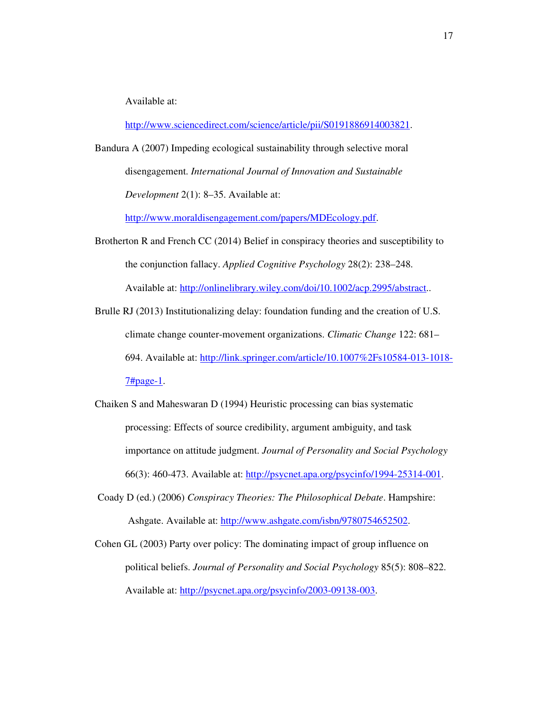Available at:

http://www.sciencedirect.com/science/article/pii/S0191886914003821.

Bandura A (2007) Impeding ecological sustainability through selective moral disengagement. *International Journal of Innovation and Sustainable Development* 2(1): 8–35. Available at:

http://www.moraldisengagement.com/papers/MDEcology.pdf.

- Brotherton R and French CC (2014) Belief in conspiracy theories and susceptibility to the conjunction fallacy. *Applied Cognitive Psychology* 28(2): 238–248. Available at: http://onlinelibrary.wiley.com/doi/10.1002/acp.2995/abstract..
- Brulle RJ (2013) Institutionalizing delay: foundation funding and the creation of U.S. climate change counter-movement organizations. *Climatic Change* 122: 681– 694. Available at: http://link.springer.com/article/10.1007%2Fs10584-013-1018- 7#page-1.
- Chaiken S and Maheswaran D (1994) Heuristic processing can bias systematic processing: Effects of source credibility, argument ambiguity, and task importance on attitude judgment. *Journal of Personality and Social Psychology* 66(3): 460-473. Available at: http://psycnet.apa.org/psycinfo/1994-25314-001.
- Coady D (ed.) (2006) *Conspiracy Theories: The Philosophical Debate*. Hampshire: Ashgate. Available at: http://www.ashgate.com/isbn/9780754652502.
- Cohen GL (2003) Party over policy: The dominating impact of group influence on political beliefs. *Journal of Personality and Social Psychology* 85(5): 808–822. Available at: http://psycnet.apa.org/psycinfo/2003-09138-003.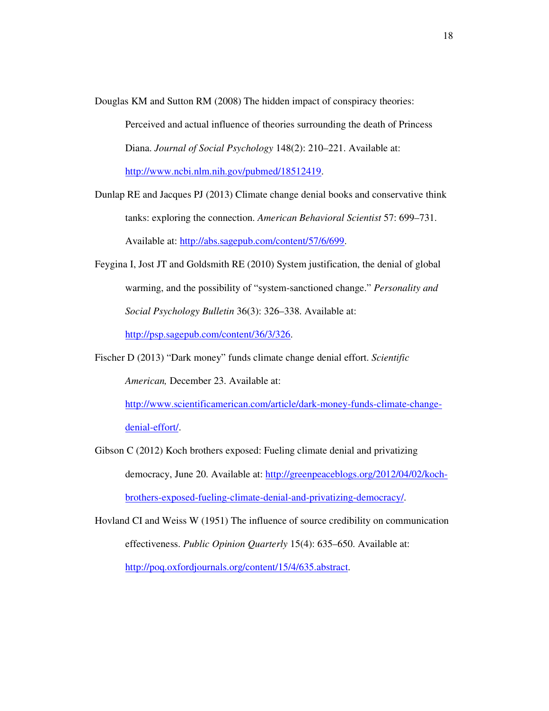Douglas KM and Sutton RM (2008) The hidden impact of conspiracy theories:

Perceived and actual influence of theories surrounding the death of Princess Diana. *Journal of Social Psychology* 148(2): 210–221. Available at: http://www.ncbi.nlm.nih.gov/pubmed/18512419.

Dunlap RE and Jacques PJ (2013) Climate change denial books and conservative think tanks: exploring the connection. *American Behavioral Scientist* 57: 699–731. Available at: http://abs.sagepub.com/content/57/6/699.

- Feygina I, Jost JT and Goldsmith RE (2010) System justification, the denial of global warming, and the possibility of "system-sanctioned change." *Personality and Social Psychology Bulletin* 36(3): 326–338. Available at: http://psp.sagepub.com/content/36/3/326.
- Fischer D (2013) "Dark money" funds climate change denial effort. *Scientific American,* December 23. Available at:

http://www.scientificamerican.com/article/dark-money-funds-climate-change-

denial-effort/.

Gibson C (2012) Koch brothers exposed: Fueling climate denial and privatizing democracy, June 20. Available at: http://greenpeaceblogs.org/2012/04/02/kochbrothers-exposed-fueling-climate-denial-and-privatizing-democracy/.

Hovland CI and Weiss W (1951) The influence of source credibility on communication effectiveness. *Public Opinion Quarterly* 15(4): 635–650. Available at: http://poq.oxfordjournals.org/content/15/4/635.abstract.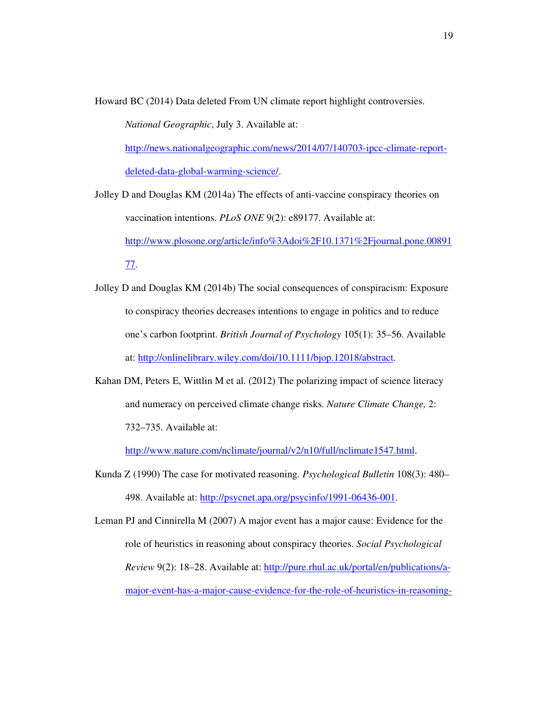Howard BC (2014) Data deleted From UN climate report highlight controversies.

*National Geographic*, July 3. Available at:

http://news.nationalgeographic.com/news/2014/07/140703-ipcc-climate-reportdeleted-data-global-warming-science/.

Jolley D and Douglas KM (2014a) The effects of anti-vaccine conspiracy theories on vaccination intentions. *PLoS ONE* 9(2): e89177. Available at:

http://www.plosone.org/article/info%3Adoi%2F10.1371%2Fjournal.pone.00891

77.

- Jolley D and Douglas KM (2014b) The social consequences of conspiracism: Exposure to conspiracy theories decreases intentions to engage in politics and to reduce one's carbon footprint. *British Journal of Psychology* 105(1): 35–56. Available at: http://onlinelibrary.wiley.com/doi/10.1111/bjop.12018/abstract.
- Kahan DM, Peters E, Wittlin M et al. (2012) The polarizing impact of science literacy and numeracy on perceived climate change risks. *Nature Climate Change,* 2: 732–735. Available at:

http://www.nature.com/nclimate/journal/v2/n10/full/nclimate1547.html.

Kunda Z (1990) The case for motivated reasoning. *Psychological Bulletin* 108(3): 480– 498. Available at: http://psycnet.apa.org/psycinfo/1991-06436-001.

Leman PJ and Cinnirella M (2007) A major event has a major cause: Evidence for the role of heuristics in reasoning about conspiracy theories. *Social Psychological Review* 9(2): 18–28. Available at: http://pure.rhul.ac.uk/portal/en/publications/amajor-event-has-a-major-cause-evidence-for-the-role-of-heuristics-in-reasoning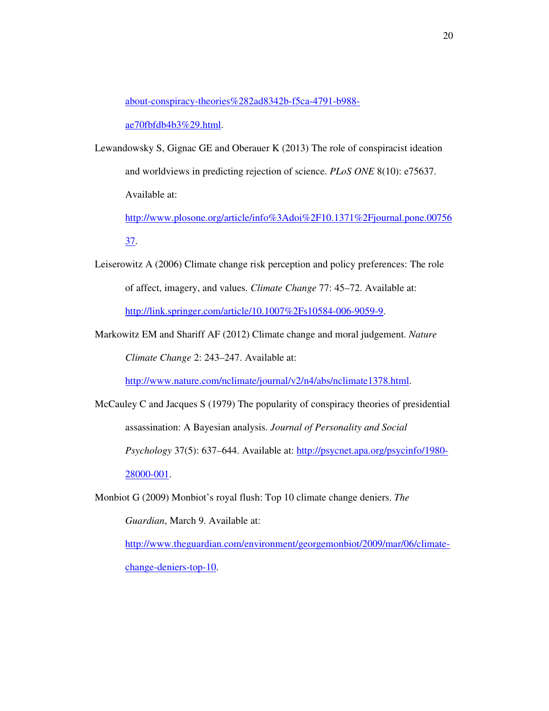about-conspiracy-theories%282ad8342b-f5ca-4791-b988-

ae70fbfdb4b3%29.html.

Lewandowsky S, Gignac GE and Oberauer K (2013) The role of conspiracist ideation and worldviews in predicting rejection of science. *PLoS ONE* 8(10): e75637. Available at:

http://www.plosone.org/article/info%3Adoi%2F10.1371%2Fjournal.pone.00756

37.

- Leiserowitz A (2006) Climate change risk perception and policy preferences: The role of affect, imagery, and values. *Climate Change* 77: 45–72. Available at: http://link.springer.com/article/10.1007%2Fs10584-006-9059-9.
- Markowitz EM and Shariff AF (2012) Climate change and moral judgement. *Nature Climate Change* 2: 243–247. Available at:

http://www.nature.com/nclimate/journal/v2/n4/abs/nclimate1378.html.

- McCauley C and Jacques S (1979) The popularity of conspiracy theories of presidential assassination: A Bayesian analysis. *Journal of Personality and Social Psychology* 37(5): 637*–*644. Available at: http://psycnet.apa.org/psycinfo/1980- 28000-001.
- Monbiot G (2009) Monbiot's royal flush: Top 10 climate change deniers. *The Guardian*, March 9. Available at: http://www.theguardian.com/environment/georgemonbiot/2009/mar/06/climate-

change-deniers-top-10.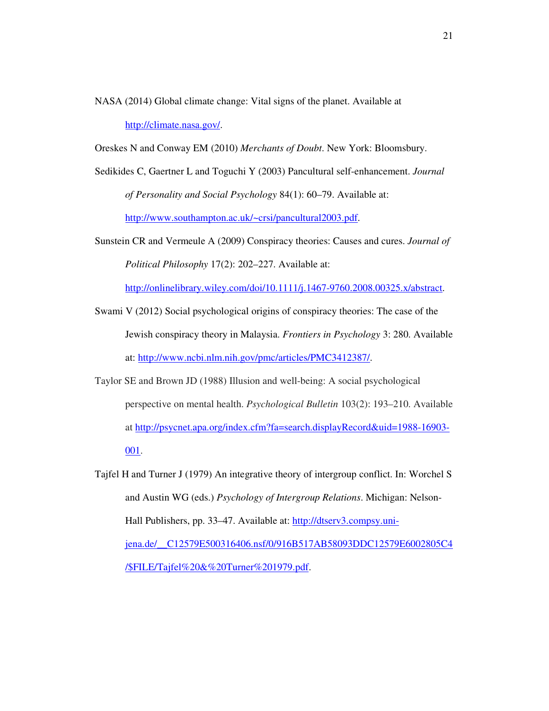- NASA (2014) Global climate change: Vital signs of the planet. Available at http://climate.nasa.gov/.
- Oreskes N and Conway EM (2010) *Merchants of Doubt*. New York: Bloomsbury.

Sedikides C, Gaertner L and Toguchi Y (2003) Pancultural self-enhancement. *Journal of Personality and Social Psychology* 84(1): 60–79. Available at: http://www.southampton.ac.uk/~crsi/pancultural2003.pdf.

Sunstein CR and Vermeule A (2009) Conspiracy theories: Causes and cures. *Journal of Political Philosophy* 17(2): 202–227. Available at:

http://onlinelibrary.wiley.com/doi/10.1111/j.1467-9760.2008.00325.x/abstract.

Swami V (2012) Social psychological origins of conspiracy theories: The case of the Jewish conspiracy theory in Malaysia. *Frontiers in Psychology* 3: 280. Available at: http://www.ncbi.nlm.nih.gov/pmc/articles/PMC3412387/.

Taylor SE and Brown JD (1988) Illusion and well-being: A social psychological perspective on mental health. *Psychological Bulletin* 103(2): 193–210. Available at http://psycnet.apa.org/index.cfm?fa=search.displayRecord&uid=1988-16903- 001.

Tajfel H and Turner J (1979) An integrative theory of intergroup conflict. In: Worchel S and Austin WG (eds.) *Psychology of Intergroup Relations*. Michigan: Nelson-Hall Publishers, pp. 33–47. Available at: http://dtserv3.compsy.unijena.de/\_\_C12579E500316406.nsf/0/916B517AB58093DDC12579E6002805C4 /\$FILE/Tajfel%20&%20Turner%201979.pdf.